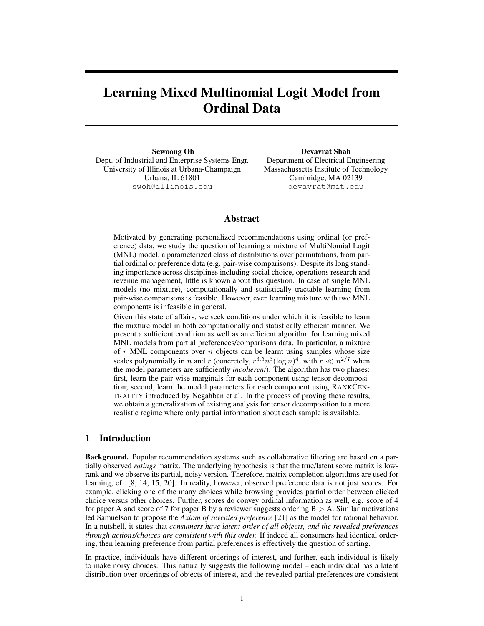# Learning Mixed Multinomial Logit Model from Ordinal Data

Sewoong Oh Dept. of Industrial and Enterprise Systems Engr. University of Illinois at Urbana-Champaign Urbana, IL 61801 swoh@illinois.edu

Devavrat Shah Department of Electrical Engineering Massachussetts Institute of Technology Cambridge, MA 02139 devavrat@mit.edu

# Abstract

Motivated by generating personalized recommendations using ordinal (or preference) data, we study the question of learning a mixture of MultiNomial Logit (MNL) model, a parameterized class of distributions over permutations, from partial ordinal or preference data (e.g. pair-wise comparisons). Despite its long standing importance across disciplines including social choice, operations research and revenue management, little is known about this question. In case of single MNL models (no mixture), computationally and statistically tractable learning from pair-wise comparisons is feasible. However, even learning mixture with two MNL components is infeasible in general.

Given this state of affairs, we seek conditions under which it is feasible to learn the mixture model in both computationally and statistically efficient manner. We present a sufficient condition as well as an efficient algorithm for learning mixed MNL models from partial preferences/comparisons data. In particular, a mixture of  $r$  MNL components over  $n$  objects can be learnt using samples whose size scales polynomially in *n* and *r* (concretely,  $r^{3.5}n^3(\log n)^4$ , with  $r \ll n^{2/7}$  when the model parameters are sufficiently *incoherent*). The algorithm has two phases: first, learn the pair-wise marginals for each component using tensor decomposition; second, learn the model parameters for each component using RANKCEN-TRALITY introduced by Negahban et al. In the process of proving these results, we obtain a generalization of existing analysis for tensor decomposition to a more realistic regime where only partial information about each sample is available.

## 1 Introduction

Background. Popular recommendation systems such as collaborative filtering are based on a partially observed *ratings* matrix. The underlying hypothesis is that the true/latent score matrix is lowrank and we observe its partial, noisy version. Therefore, matrix completion algorithms are used for learning, cf. [8, 14, 15, 20]. In reality, however, observed preference data is not just scores. For example, clicking one of the many choices while browsing provides partial order between clicked choice versus other choices. Further, scores do convey ordinal information as well, e.g. score of 4 for paper A and score of 7 for paper B by a reviewer suggests ordering  $B > A$ . Similar motivations led Samuelson to propose the *Axiom of revealed preference* [21] as the model for rational behavior. In a nutshell, it states that *consumers have latent order of all objects, and the revealed preferences through actions/choices are consistent with this order.* If indeed all consumers had identical ordering, then learning preference from partial preferences is effectively the question of sorting.

In practice, individuals have different orderings of interest, and further, each individual is likely to make noisy choices. This naturally suggests the following model – each individual has a latent distribution over orderings of objects of interest, and the revealed partial preferences are consistent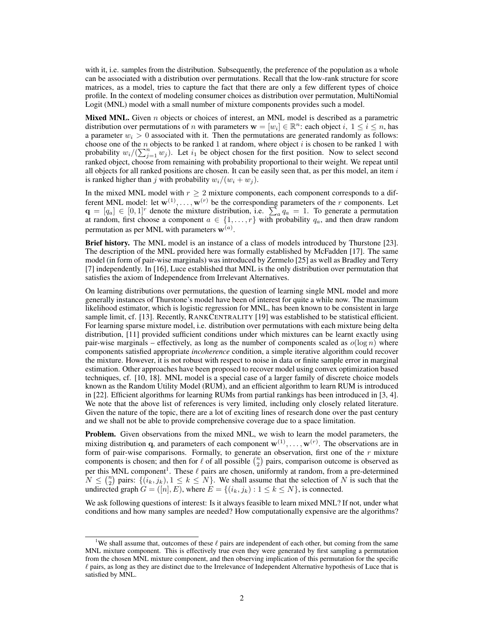with it, i.e. samples from the distribution. Subsequently, the preference of the population as a whole can be associated with a distribution over permutations. Recall that the low-rank structure for score matrices, as a model, tries to capture the fact that there are only a few different types of choice profile. In the context of modeling consumer choices as distribution over permutation, MultiNomial Logit (MNL) model with a small number of mixture components provides such a model.

**Mixed MNL.** Given  $n$  objects or choices of interest, an MNL model is described as a parametric distribution over permutations of *n* with parameters  $\mathbf{w} = [w_i] \in \mathbb{R}^n$ : each object  $i, 1 \le i \le n$ , has a parameter  $w_i > 0$  associated with it. Then the permutations are generated randomly as follows: choose one of the n objects to be ranked 1 at random, where object i is chosen to be ranked 1 with probability  $w_i/(\sum_{j=1}^n w_j)$ . Let  $i_1$  be object chosen for the first position. Now to select second ranked object, choose from remaining with probability proportional to their weight. We repeat until all objects for all ranked positions are chosen. It can be easily seen that, as per this model, an item  $i$ is ranked higher than j with probability  $w_i/(w_i + w_j)$ .

In the mixed MNL model with  $r \geq 2$  mixture components, each component corresponds to a different MNL model: let  $\mathbf{w}^{(1)}, \dots, \mathbf{w}^{(r)}$  be the corresponding parameters of the r components. Let  $\mathbf{q} = [q_a] \in [0,1]^r$  denote the mixture distribution, i.e.  $\sum_a q_a = 1$ . To generate a permutation at random, first choose a component  $a \in \{1, \ldots, r\}$  with probability  $q_a$ , and then draw random permutation as per MNL with parameters  $\mathbf{w}^{(a)}$ .

Brief history. The MNL model is an instance of a class of models introduced by Thurstone [23]. The description of the MNL provided here was formally established by McFadden [17]. The same model (in form of pair-wise marginals) was introduced by Zermelo [25] as well as Bradley and Terry [7] independently. In [16], Luce established that MNL is the only distribution over permutation that satisfies the axiom of Independence from Irrelevant Alternatives.

On learning distributions over permutations, the question of learning single MNL model and more generally instances of Thurstone's model have been of interest for quite a while now. The maximum likelihood estimator, which is logistic regression for MNL, has been known to be consistent in large sample limit, cf. [13]. Recently, RANKCENTRALITY [19] was established to be statistical efficient. For learning sparse mixture model, i.e. distribution over permutations with each mixture being delta distribution, [11] provided sufficient conditions under which mixtures can be learnt exactly using pair-wise marginals – effectively, as long as the number of components scaled as  $o(\log n)$  where components satisfied appropriate *incoherence* condition, a simple iterative algorithm could recover the mixture. However, it is not robust with respect to noise in data or finite sample error in marginal estimation. Other approaches have been proposed to recover model using convex optimization based techniques, cf. [10, 18]. MNL model is a special case of a larger family of discrete choice models known as the Random Utility Model (RUM), and an efficient algorithm to learn RUM is introduced in [22]. Efficient algorithms for learning RUMs from partial rankings has been introduced in [3, 4]. We note that the above list of references is very limited, including only closely related literature. Given the nature of the topic, there are a lot of exciting lines of research done over the past century and we shall not be able to provide comprehensive coverage due to a space limitation.

Problem. Given observations from the mixed MNL, we wish to learn the model parameters, the mixing distribution q, and parameters of each component  $w^{(1)}, \ldots, w^{(r)}$ . The observations are in form of pair-wise comparisons. Formally, to generate an observation, first one of the  $r$  mixture components is chosen; and then for  $\ell$  of all possible  $\binom{n}{2}$  pairs, comparison outcome is observed as per this MNL component<sup>1</sup>. These  $\ell$  pairs are chosen, uniformly at random, from a pre-determined  $N \leq {n \choose 2}$  pairs:  $\{(i_k, j_k), 1 \leq k \leq N\}$ . We shall assume that the selection of N is such that the undirected graph  $G = ([n], E)$ , where  $E = \{(i_k, j_k) : 1 \le k \le N\}$ , is connected.

We ask following questions of interest: Is it always feasible to learn mixed MNL? If not, under what conditions and how many samples are needed? How computationally expensive are the algorithms?

<sup>&</sup>lt;sup>1</sup>We shall assume that, outcomes of these  $\ell$  pairs are independent of each other, but coming from the same MNL mixture component. This is effectively true even they were generated by first sampling a permutation from the chosen MNL mixture component, and then observing implication of this permutation for the specific  $\ell$  pairs, as long as they are distinct due to the Irrelevance of Independent Alternative hypothesis of Luce that is satisfied by MNL.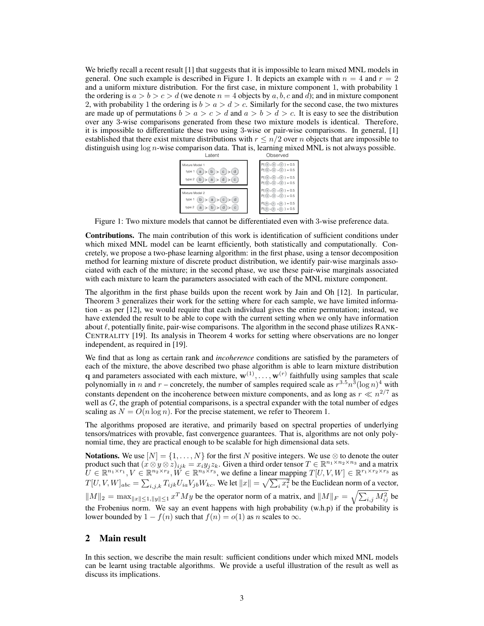We briefly recall a recent result [1] that suggests that it is impossible to learn mixed MNL models in general. One such example is described in Figure 1. It depicts an example with  $n = 4$  and  $r = 2$ and a uniform mixture distribution. For the first case, in mixture component 1, with probability 1 the ordering is  $a > b > c > d$  (we denote  $n = 4$  objects by a, b, c and d); and in mixture component 2, with probability 1 the ordering is  $b > a > d > c$ . Similarly for the second case, the two mixtures are made up of permutations  $b > a > c > d$  and  $a > b > d > c$ . It is easy to see the distribution over any 3-wise comparisons generated from these two mixture models is identical. Therefore, it is impossible to differentiate these two using 3-wise or pair-wise comparisons. In general, [1] established that there exist mixture distributions with  $r \leq n/2$  over n objects that are impossible to distinguish using  $\log n$ -wise comparison data. That is, learning mixed MNL is not always possible.<br><sup>Observed</sup>



Figure 1: Two mixture models that cannot be differentiated even with 3-wise preference data.

Contributions. The main contribution of this work is identification of sufficient conditions under which mixed MNL model can be learnt efficiently, both statistically and computationally. Concretely, we propose a two-phase learning algorithm: in the first phase, using a tensor decomposition method for learning mixture of discrete product distribution, we identify pair-wise marginals associated with each of the mixture; in the second phase, we use these pair-wise marginals associated with each mixture to learn the parameters associated with each of the MNL mixture component.

The algorithm in the first phase builds upon the recent work by Jain and Oh [12]. In particular, Theorem 3 generalizes their work for the setting where for each sample, we have limited information - as per [12], we would require that each individual gives the entire permutation; instead, we have extended the result to be able to cope with the current setting when we only have information about  $\ell$ , potentially finite, pair-wise comparisons. The algorithm in the second phase utilizes RANK-CENTRALITY [19]. Its analysis in Theorem 4 works for setting where observations are no longer independent, as required in [19].

We find that as long as certain rank and *incoherence* conditions are satisfied by the parameters of each of the mixture, the above described two phase algorithm is able to learn mixture distribution q and parameters associated with each mixture,  $\mathbf{w}^{(1)}, \dots, \mathbf{w}^{(r)}$  faithfully using samples that scale polynomially in n and  $r$  – concretely, the number of samples required scale as  $r^{3.5}n^3(\log n)^4$  with constants dependent on the incoherence between mixture components, and as long as  $r \ll n^{2/7}$  as well as  $G$ , the graph of potential comparisons, is a spectral expander with the total number of edges scaling as  $N = O(n \log n)$ . For the precise statement, we refer to Theorem 1.

The algorithms proposed are iterative, and primarily based on spectral properties of underlying tensors/matrices with provable, fast convergence guarantees. That is, algorithms are not only polynomial time, they are practical enough to be scalable for high dimensional data sets.

Notations. We use  $[N] = \{1, \ldots, N\}$  for the first N positive integers. We use ⊗ to denote the outer product such that  $(x \otimes y \otimes z)_{ijk} = x_i y_j z_k$ . Given a third order tensor  $T \in \mathbb{R}^{n_1 \times n_2 \times n_3}$  and a matrix  $\overline{U} \in \mathbb{R}^{n_1 \times r_1}, V \in \mathbb{R}^{n_2 \times r_2}, \overline{W} \in \mathbb{R}^{n_3 \times r_3}$ , we define a linear mapping  $T[U, V, W] \in \mathbb{R}^{r_1 \times r_2 \times r_3}$  as  $T[U, V, W]_{abc} = \sum_{i,j,k} T_{ijk} U_{ia} V_{jb} W_{kc}$ . We let  $||x|| = \sqrt{\sum_i x_i^2}$  be the Euclidean norm of a vector,  $||M||_2 = \max_{||x|| \le 1, ||y|| \le 1} x^T M y$  be the operator norm of a matrix, and  $||M||_F = \sqrt{\sum_{i,j} M_{ij}^2}$  be the Frobenius norm. We say an event happens with high probability (w.h.p) if the probability is lower bounded by  $1 - f(n)$  such that  $f(n) = o(1)$  as n scales to  $\infty$ .

# 2 Main result

In this section, we describe the main result: sufficient conditions under which mixed MNL models can be learnt using tractable algorithms. We provide a useful illustration of the result as well as discuss its implications.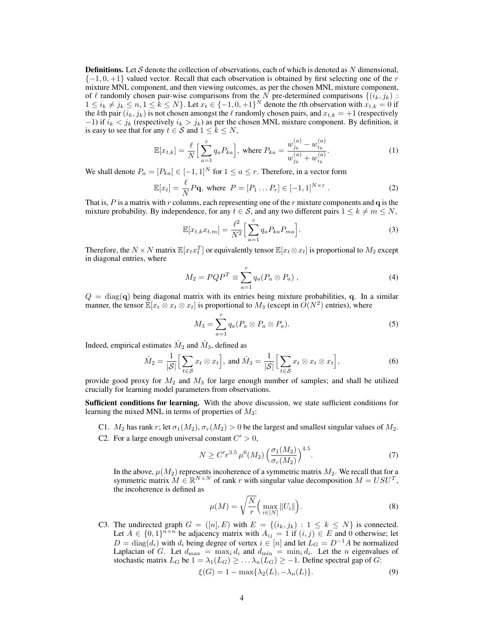**Definitions.** Let S denote the collection of observations, each of which is denoted as N dimensional,  $\{-1, 0, +1\}$  valued vector. Recall that each observation is obtained by first selecting one of the r mixture MNL component, and then viewing outcomes, as per the chosen MNL mixture component, of  $\ell$  randomly chosen pair-wise comparisons from the N pre-determined comparisons  $\{(i_k, j_k) :$  $1 \leq i_k \neq j_k \leq n, 1 \leq k \leq N$ . Let  $x_t \in \{-1, 0, +1\}^N$  denote the tth observation with  $x_{t,k} = 0$  if the kth pair  $(i_k, j_k)$  is not chosen amongst the  $\ell$  randomly chosen pairs, and  $x_{t,k} = +1$  (respectively  $-1$ ) if  $i_k < j_k$  (respectively  $i_k > j_k$ ) as per the chosen MNL mixture component. By definition, it is easy to see that for any  $t \in S$  and  $1 \leq k \leq N$ ,

$$
\mathbb{E}[x_{t,k}] = \frac{\ell}{N} \Big[ \sum_{a=1}^{r} q_a P_{ka} \Big], \text{ where } P_{ka} = \frac{w_{jk}^{(a)} - w_{ik}^{(a)}}{w_{jk}^{(a)} + w_{ik}^{(a)}}.
$$
 (1)

We shall denote  $P_a = [P_{ka}] \in [-1,1]^N$  for  $1 \le a \le r$ . Therefore, in a vector form

$$
\mathbb{E}[x_t] = \frac{\ell}{N} P \mathbf{q}, \text{ where } P = [P_1 \dots P_r] \in [-1, 1]^{N \times r} . \tag{2}
$$

That is, P is a matrix with r columns, each representing one of the r mixture components and q is the mixture probability. By independence, for any  $t \in S$ , and any two different pairs  $1 \leq k \neq m \leq N$ ,

$$
\mathbb{E}[x_{t,k}x_{t,m}] = \frac{\ell^2}{N^2} \Big[ \sum_{a=1}^r q_a P_{ka} P_{ma} \Big].
$$
 (3)

Therefore, the  $N \times N$  matrix  $\mathbb{E}[x_t x_t^T]$  or equivalently tensor  $\mathbb{E}[x_t \otimes x_t]$  is proportional to  $M_2$  except in diagonal entries, where

$$
M_2 = PQP^T \equiv \sum_{a=1}^r q_a (P_a \otimes P_a) , \qquad (4)
$$

 $Q = \text{diag}(q)$  being diagonal matrix with its entries being mixture probabilities, q. In a similar manner, the tensor  $\mathbb{E}[x_t \otimes x_t \otimes x_t]$  is proportional to  $M_3$  (except in  $O(N^2)$  entries), where

$$
M_3 = \sum_{a=1}^r q_a (P_a \otimes P_a \otimes P_a).
$$
 (5)

Indeed, empirical estimates  $\hat{M}_2$  and  $\hat{M}_3$ , defined as

$$
\hat{M}_2 = \frac{1}{|\mathcal{S}|} \Big[ \sum_{t \in \mathcal{S}} x_t \otimes x_t \Big], \text{ and } \hat{M}_3 = \frac{1}{|\mathcal{S}|} \Big[ \sum_{t \in \mathcal{S}} x_t \otimes x_t \otimes x_t \Big], \tag{6}
$$

provide good proxy for  $M_2$  and  $M_3$  for large enough number of samples; and shall be utilized crucially for learning model parameters from observations.

Sufficient conditions for learning. With the above discussion, we state sufficient conditions for learning the mixed MNL in terms of properties of  $M_2$ :

- C1.  $M_2$  has rank r; let  $\sigma_1(M_2)$ ,  $\sigma_r(M_2) > 0$  be the largest and smallest singular values of  $M_2$ .
- C2. For a large enough universal constant  $C' > 0$ ,

$$
N \ge C' r^{3.5} \mu^6(M_2) \left(\frac{\sigma_1(M_2)}{\sigma_r(M_2)}\right)^{4.5}.
$$
 (7)

In the above,  $\mu(M_2)$  represents incoherence of a symmetric matrix  $M_2$ . We recall that for a symmetric matrix  $M \in \mathbb{R}^{N \times N}$  of rank r with singular value decomposition  $M = USU<sup>T</sup>$ , the incoherence is defined as

$$
\mu(M) = \sqrt{\frac{N}{r}} \Big( \max_{i \in [N]} \|U_i\|\Big). \tag{8}
$$

C3. The undirected graph  $G = ([n], E)$  with  $E = \{(i_k, j_k) : 1 \leq k \leq N\}$  is connected. Let  $A \in \{0,1\}^{n \times n}$  be adjacency matrix with  $A_{ij} = 1$  if  $(i, j) \in E$  and 0 otherwise; let  $D = \text{diag}(d_i)$  with  $d_i$  being degree of vertex  $i \in [n]$  and let  $L_G = D^{-1}A$  be normalized Laplacian of G. Let  $d_{\text{max}} = \max_i d_i$  and  $d_{\min} = \min_i d_i$ . Let the *n* eigenvalues of stochastic matrix  $L_G$  be  $1 = \lambda_1(L_G) \geq \ldots \lambda_n(L_G) \geq -1$ . Define spectral gap of G:

$$
\xi(G) = 1 - \max\{\lambda_2(L), -\lambda_n(L)\}.
$$
\n(9)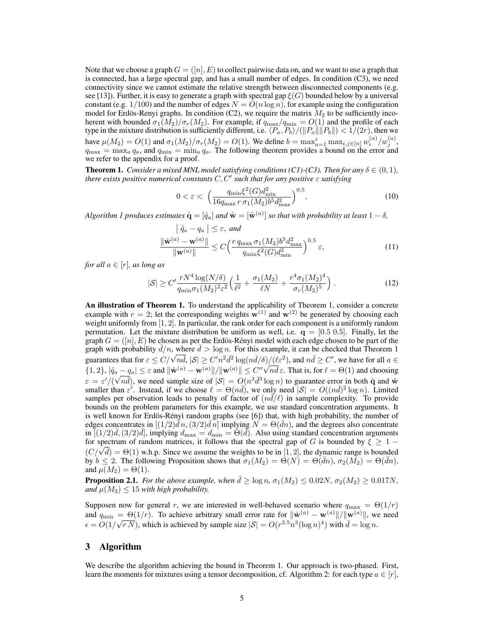Note that we choose a graph  $G = ([n], E)$  to collect pairwise data on, and we want to use a graph that is connected, has a large spectral gap, and has a small number of edges. In condition (C3), we need connectivity since we cannot estimate the relative strength between disconnected components (e.g. see [13]). Further, it is easy to generate a graph with spectral gap  $\xi(G)$  bounded below by a universal constant (e.g.  $1/100$ ) and the number of edges  $N = O(n \log n)$ , for example using the configuration model for Erdös-Renyi graphs. In condition (C2), we require the matrix  $M_2$  to be sufficiently incoherent with bounded  $\sigma_1(M_2)/\sigma_r(M_2)$ . For example, if  $q_{\text{max}}/q_{\text{min}} = O(1)$  and the profile of each type in the mixture distribution is sufficiently different, i.e.  $\langle P_a, P_b \rangle / (\|P_a\| \|P_b\|) < 1/(2r)$ , then we have  $\mu(M_2) = O(1)$  and  $\sigma_1(M_2)/\sigma_r(M_2) = O(1)$ . We define  $b = \max_{a=1}^r \max_{i,j \in [n]} w_i^{(a)}/w_j^{(a)}$ .  $q_{\text{max}} = \max_a q_a$ , and  $q_{\text{min}} = \min_a q_a$ . The following theorem provides a bound on the error and we refer to the appendix for a proof.

**Theorem 1.** *Consider a mixed MNL model satisfying conditions (C1)-(C3). Then for any*  $\delta \in (0,1)$ *, there exists positive numerical constants*  $C, C'$  such that for any positive  $\varepsilon$  satisfying

$$
0 < \varepsilon < \left(\frac{q_{\min} \xi^2(G) d_{\min}^2}{16 q_{\max} r \sigma_1(M_2) b^5 d_{\max}^2}\right)^{0.5},\tag{10}
$$

*Algorithm 1 produces estimates*  $\hat{\mathbf{q}} = [\hat{q}_a]$  *and*  $\hat{\mathbf{w}} = [\hat{\mathbf{w}}^{(a)}]$  *so that with probability at least*  $1 - \delta$ *,* 

$$
\left| \hat{q}_a - q_a \right| \leq \varepsilon, \text{ and}
$$
  

$$
\frac{\left\| \hat{\mathbf{w}}^{(a)} - \mathbf{w}^{(a)} \right\|}{\left\| \mathbf{w}^{(a)} \right\|} \leq C \Big( \frac{r \, q_{\max} \, \sigma_1(M_2) b^5 d_{\max}^2}{q_{\min} \xi^2(G) d_{\min}^2} \Big)^{0.5} \varepsilon,
$$
\n(11)

*for all*  $a \in [r]$ *, as long as* 

$$
|\mathcal{S}| \ge C' \frac{r N^4 \log(N/\delta)}{q_{\min} \sigma_1(M_2)^2 \varepsilon^2} \left(\frac{1}{\ell^2} + \frac{\sigma_1(M_2)}{\ell N} + \frac{r^4 \sigma_1(M_2)^4}{\sigma_r(M_2)^5}\right). \tag{12}
$$

An illustration of Theorem 1. To understand the applicability of Theorem 1, consider a concrete example with  $r = 2$ ; let the corresponding weights  $\mathbf{w}^{(1)}$  and  $\mathbf{w}^{(2)}$  be generated by choosing each weight uniformly from  $[1, 2]$ . In particular, the rank order for each component is a uniformly random permutation. Let the mixture distribution be uniform as well, i.e.  $q = [0.5 \ 0.5]$ . Finally, let the graph  $G = ([n], E)$  be chosen as per the Erdös-Rényi model with each edge chosen to be part of the graph with probability  $\bar{d}/n$ , where  $\bar{d} > \log n$ . For this example, it can be checked that Theorem 1 guarantees that for  $\varepsilon \le C/\sqrt{n\bar{d}}$ ,  $|S| \ge C'n^2 \bar{d}^2 \log(n\bar{d}/\delta)/(\ell \varepsilon^2)$ , and  $n\bar{d} \ge C'$ , we have for all  $a \in$  $\{1, 2\}, |\hat{q}_a - \hat{q}_a| \leq \varepsilon$  and  $\|\hat{\mathbf{w}}^{(a)} - \mathbf{w}^{(a)}\|/\|\mathbf{w}^{(a)}\| \leq C''\sqrt{n}\bar{d}\varepsilon$ . That is, for  $\ell = \Theta(1)$  and choosing  $\varepsilon = \varepsilon'/(\sqrt{n}\overline{d})$ , we need sample size of  $|\mathcal{S}| = O(n^3\overline{d}^3 \log n)$  to guarantee error in both  $\hat{q}$  and  $\hat{w}$ smaller than  $\varepsilon'$ . Instead, if we choose  $\ell = \Theta(n\bar{d})$ , we only need  $|S| = O((n\bar{d})^2 \log n)$ . Limited samples per observation leads to penalty of factor of  $(nd/\ell)$  in sample complexity. To provide bounds on the problem parameters for this example, we use standard concentration arguments. It is well known for Erdös-Rényi random graphs (see  $[6]$ ) that, with high probability, the number of edges concentrates in  $[(1/2)\bar{d}n,(3/2)\bar{d}n]$  implying  $N = \Theta(\bar{d}n)$ , and the degrees also concentrate in  $\tilde{[(1/2)\bar{d},(3/2)\bar{d}]}$ , implying  $d_{\max} = d_{\min} = \Theta(\tilde{d})$ . Also using standard concentration arguments for spectrum of random matrices, it follows that the spectral gap of G is bounded by  $\xi \geq 1 - \frac{1}{\sqrt{n}}$  $(C/\sqrt{d}) = \Theta(1)$  w.h.p. Since we assume the weights to be in [1, 2], the dynamic range is bounded  $(C/\sqrt{d}) = \Theta(1)$ by  $b \leq 2$ . The following Proposition shows that  $\sigma_1(M_2) = \Theta(N) = \Theta(\bar{d}n)$ ,  $\sigma_2(M_2) = \Theta(\bar{d}n)$ , and  $\mu(M_2) = \Theta(1)$ .

**Proposition 2.1.** *For the above example, when*  $\bar{d} \geq \log n$ ,  $\sigma_1(M_2) \leq 0.02N$ ,  $\sigma_2(M_2) \geq 0.017N$ , *and*  $\mu(M_2) \leq 15$  *with high probability.* 

Supposen now for general r, we are interested in well-behaved scenario where  $q_{\text{max}} = \Theta(1/r)$ and  $q_{\min} = \Theta(1/r)$ . To achieve arbitrary small error rate for  $\|\hat{\mathbf{w}}^{(a)} - \mathbf{w}^{(a)}\| / \|\mathbf{w}^{(a)}\|$ , we need  $\epsilon = O(1/\sqrt{rN})$ , which is achieved by sample size  $|S| = O(r^{3.5}n^3(\log n)^4)$  with  $\bar{d} = \log n$ .

# 3 Algorithm

We describe the algorithm achieving the bound in Theorem 1. Our approach is two-phased. First, learn the moments for mixtures using a tensor decomposition, cf. Algorithm 2: for each type  $a \in [r]$ ,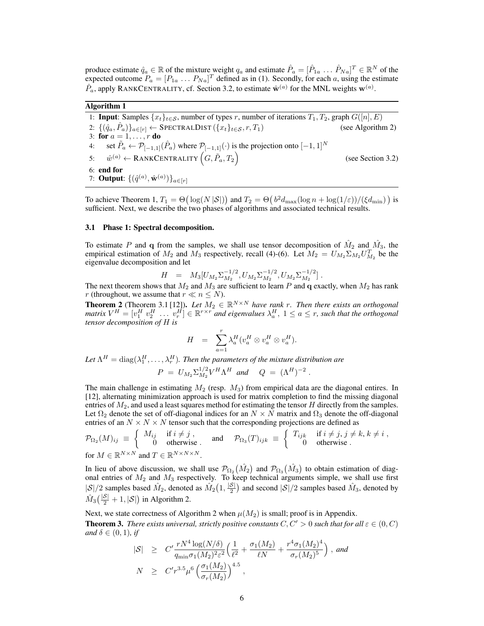produce estimate  $\hat{q}_a \in \mathbb{R}$  of the mixture weight  $q_a$  and estimate  $\hat{P}_a = [\hat{P}_{1a} \dots \hat{P}_{Na}]^T \in \mathbb{R}^N$  of the expected outcome  $P_a = [P_{1a} \dots P_{Na}]^T$  defined as in (1). Secondly, for each a, using the estimate  $\hat{P}_a$ , apply RANKCENTRALITY, cf. Section 3.2, to estimate  $\hat{\mathbf{w}}^{(a)}$  for the MNL weights  $\mathbf{w}^{(a)}$ .

### Algorithm 1

1: **Input**: Samples  $\{x_t\}_{t\in\mathcal{S}}$ , number of types r, number of iterations  $T_1, T_2$ , graph  $G([n], E)$ <br>2:  $\{(\hat{q}_a, \hat{P}_a)\}_{a\in[r]} \leftarrow$  SPECTRALDIST  $(\{x_t\}_{t\in\mathcal{S}}, r, T_1)$  (see Algorithm 2) 2:  $\{(\hat{q}_a, \hat{P}_a)\}_{a \in [r]} \leftarrow$  SPECTRALDIST  $(\{x_t\}_{t \in S}, r, T_1)$  (see Algorithm 2) 3: for  $a = 1, \ldots, r$  do 4: set  $\tilde{P}_a \leftarrow \mathcal{P}_{[-1,1]}(\hat{P}_a)$  where  $\mathcal{P}_{[-1,1]}(\cdot)$  is the projection onto  $[-1,1]^N$ 5:  $\hat{w}^{(a)} \leftarrow \text{RankCENTRALITY}\left(G, \tilde{P}_a, T_2\right)$ (see Section 3.2) 6: end for 7: **Output:**  $\{(\hat{q}^{(a)}, \hat{\mathbf{w}}^{(a)})\}_{a \in [r]}$ 

To achieve Theorem 1,  $T_1 = \Theta\left(\log(N |\mathcal{S}|)\right)$  and  $T_2 = \Theta\left(\frac{b^2 d_{\max}(\log n + \log(1/\varepsilon))/(\xi d_{\min})}{\log n}\right)$  is sufficient. Next, we describe the two phases of algorithms and associated technical results.

#### 3.1 Phase 1: Spectral decomposition.

To estimate P and q from the samples, we shall use tensor decomposition of  $\hat{M}_2$  and  $\hat{M}_3$ , the empirical estimation of  $M_2$  and  $M_3$  respectively, recall (4)-(6). Let  $M_2 = U_{M_2} \Sigma_{M_2} U_{M_2}^T$  be the eigenvalue decomposition and let

$$
H = M_3[U_{M_2} \Sigma_{M_2}^{-1/2}, U_{M_2} \Sigma_{M_2}^{-1/2}, U_{M_2} \Sigma_{M_2}^{-1/2}].
$$

The next theorem shows that  $M_2$  and  $M_3$  are sufficient to learn P and q exactly, when  $M_2$  has rank r (throughout, we assume that  $r \ll n \le N$ ).

**Theorem 2** (Theorem 3.1 [12]). Let  $M_2 \in \mathbb{R}^{N \times N}$  have rank r. Then there exists an orthogonal  $matrix\, V^H = [v_1^H\, v_2^H\, \ldots\, v_r^H] \in \mathbb{R}^{r \times r}$  and eigenvalues  $\lambda_a^H,\, 1 \le a \le r$ , such that the orthogonal *tensor decomposition of* H *is*

$$
H = \sum_{a=1}^r \lambda_a^H (v_a^H \otimes v_a^H \otimes v_a^H).
$$

Let  $\Lambda^H = \text{diag}(\lambda_1^H, \dots, \lambda_r^H)$ . Then the parameters of the mixture distribution are

$$
P = U_{M_2} \Sigma_{M_2}^{1/2} V^H \Lambda^H \text{ and } Q = (\Lambda^H)^{-2} .
$$

The main challenge in estimating  $M_2$  (resp.  $M_3$ ) from empirical data are the diagonal entires. In [12], alternating minimization approach is used for matrix completion to find the missing diagonal entries of  $M_2$ , and used a least squares method for estimating the tensor  $H$  directly from the samples. Let  $\Omega_2$  denote the set of off-diagonal indices for an  $N \times N$  matrix and  $\Omega_3$  denote the off-diagonal entries of an  $N \times N \times N$  tensor such that the corresponding projections are defined as

$$
\mathcal{P}_{\Omega_2}(M)_{ij} \equiv \begin{cases} M_{ij} & \text{if } i \neq j, \\ 0 & \text{otherwise} \end{cases} \quad \text{and} \quad \mathcal{P}_{\Omega_3}(T)_{ijk} \equiv \begin{cases} T_{ijk} & \text{if } i \neq j, j \neq k, k \neq i, \\ 0 & \text{otherwise} \end{cases}
$$
\n
$$
\text{for } M \in \mathbb{R}^{N \times N} \text{ and } T \in \mathbb{R}^{N \times N \times N}.
$$

In lieu of above discussion, we shall use  $\mathcal{P}_{\Omega_2}(\hat{M}_2)$  and  $\mathcal{P}_{\Omega_3}(\hat{M}_3)$  to obtain estimation of diagonal entries of  $M_2$  and  $M_3$  respectively. To keep technical arguments simple, we shall use first  $|S|/2$  samples based  $\hat{M}_2$ , denoted as  $\hat{M}_2(1, \frac{|S|}{2})$  and second  $|S|/2$  samples based  $\hat{M}_3$ , denoted by  $\hat{M}_3(\frac{|\mathcal{S}|}{2}+1, |\mathcal{S}|)$  in Algorithm 2.

Next, we state correctness of Algorithm 2 when  $\mu(M_2)$  is small; proof is in Appendix. **Theorem 3.** *There exists universal, strictly positive constants*  $C, C' > 0$  *such that for all*  $\varepsilon \in (0, C)$ *and*  $\delta \in (0, 1)$ *, if* 

$$
|S| \geq C' \frac{r N^4 \log(N/\delta)}{q_{\min} \sigma_1(M_2)^2 \varepsilon^2} \Big( \frac{1}{\ell^2} + \frac{\sigma_1(M_2)}{\ell N} + \frac{r^4 \sigma_1(M_2)^4}{\sigma_r(M_2)^5} \Big) , \text{ and}
$$
  

$$
N \geq C' r^{3.5} \mu^6 \Big( \frac{\sigma_1(M_2)}{\sigma_r(M_2)} \Big)^{4.5} ,
$$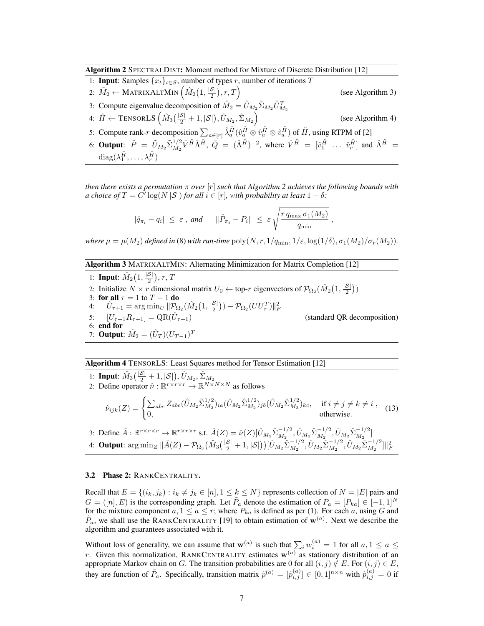Algorithm 2 SPECTRALDIST: Moment method for Mixture of Discrete Distribution [12]

| 1: <b>Input:</b> Samples $\{x_t\}_{t \in S}$ , number of types r, number of iterations T                                                                                                                                                                                                   |                   |
|--------------------------------------------------------------------------------------------------------------------------------------------------------------------------------------------------------------------------------------------------------------------------------------------|-------------------|
| 2: $\tilde{M}_2 \leftarrow \text{MATRIXALTMIN}\left(\hat{M}_2\left(1, \frac{ \mathcal{S} }{2}\right), r, T\right)$                                                                                                                                                                         | (see Algorithm 3) |
| 3: Compute eigenvalue decomposition of $\tilde{M}_2 = \tilde{U}_{M_2} \tilde{\Sigma}_{M_2} \tilde{U}_{M_2}^T$                                                                                                                                                                              |                   |
| 4: $\tilde{H} \leftarrow \text{TensorLS} \left( \hat{M}_3 \left( \frac{ \mathcal{S} }{2} + 1,  \mathcal{S}  \right), \tilde{U}_{M_2}, \tilde{\Sigma}_{M_2} \right)$                                                                                                                        | (see Algorithm 4) |
| 5: Compute rank-r decomposition $\sum_{a \in [r]} \hat{\lambda}_a^{\tilde{H}} (\hat{v}_a^{\tilde{H}} \otimes \hat{v}_a^{\tilde{H}} \otimes \hat{v}_a^{\tilde{H}})$ of $\tilde{H}$ , using RTPM of [2]                                                                                      |                   |
| 6: <b>Output:</b> $\hat{P} = \tilde{U}_{M_2} \tilde{\Sigma}_{M_2}^{1/2} \hat{V}^{\tilde{H}} \hat{\Lambda}^{\tilde{H}}, \ \hat{Q} = (\hat{\Lambda}^{\tilde{H}})^{-2}$ , where $\hat{V}^{\tilde{H}} = [\hat{v}_1^{\tilde{H}} \dots \hat{v}_r^{\tilde{H}}]$ and $\hat{\Lambda}^{\tilde{H}} =$ |                   |

 $\mathrm{diag}(\lambda_1^{\tilde{H}},\ldots,\lambda_r^{\tilde{H}})$ 

*then there exists a permutation* π *over* [r] *such that Algorithm 2 achieves the following bounds with a* choice of  $T = C' \log(N |\mathcal{S}|)$  for all  $i \in [r]$ , with probability at least  $1 - \delta$ :

$$
|\hat{q}_{\pi_i} - q_i| \leq \varepsilon \ , \ and \qquad \|\hat{P}_{\pi_i} - P_i\| \leq \varepsilon \sqrt{\frac{r \, q_{\max} \, \sigma_1(M_2)}{q_{\min}}} \ ,
$$

*where*  $\mu = \mu(M_2)$  *defined in* (8) *with run-time*  $\text{poly}(N, r, 1/q_{\text{min}}, 1/\varepsilon, \log(1/\delta), \sigma_1(M_2)/\sigma_r(M_2))$ .

Algorithm 3 MATRIXALTMIN: Alternating Minimization for Matrix Completion [12]

1: **Input**:  $\hat{M}_2(1, \frac{|\mathcal{S}|}{2}), r, T$ 2. Initialize  $N \times r$  dimensional matrix  $U_0 \leftarrow$  top-r eigenvectors of  $\mathcal{P}_{\Omega_2}(\hat{M}_2(1, \frac{|\mathcal{S}|}{2}))$ 3: for all  $\tau = 1$  to  $T - 1$  do<br>4:  $\hat{U}_{\tau+1} = \arg \min_{U} ||\mathcal{P}_{\Omega}$ 4:  $\hat{U}_{\tau+1} = \arg \min_{U} \|\mathcal{P}_{\Omega_2}(\hat{M}_2(1,\frac{|\mathcal{S}|}{2})) - \mathcal{P}_{\Omega_2}(UU_{\tau}^T)\|_F^2$ 5:  $[U_{\tau+1}R_{\tau+1}] = QR(\hat{U}_{\tau+1})$ (standard OR decomposition) 6: end for 7: **Output**:  $\tilde{M}_2 = (\hat{U}_T)(U_{T-1})^T$ 

# Algorithm 4 TENSORLS: Least Squares method for Tensor Estimation [12]

1: Input:  $\hat{M}_3(\frac{|\mathcal{S}|}{2}+1, |\mathcal{S}|), \hat{U}_{M_2}, \hat{\Sigma}_{M_2}$ 2: Define operator  $\hat{\nu} : \mathbb{R}^{r \times r \times r} \to \mathbb{R}^{N \times N \times N}$  as follows  $\hat{\nu}_{ijk}(Z) = \begin{cases} \sum_{abc} Z_{abc} (\hat{U}_{M_2} \hat{\Sigma}_{M_2}^{1/2}) \end{cases}$  $_{M_2}^{1/2})_{ia} (\hat{U}_{M_2}\hat{\Sigma}_{M_2}^{1/2}$  $_{M_2}^{1/2})_{jb} (\hat{U}_{M_2}\hat{\Sigma}_{M_2}^{1/2}$  $\binom{1/2}{M_2}$ kc, if  $i \neq j \neq k \neq i$ ,  $\sum_{abc} \sum_{abc} \sum_{M_2} \sum_{n} \sum_{n} \sum_{n} \sum_{m_2} \sum_{m_2} \sum_{m_2} \sum_{m_2} \sum_{m_2} \sum_{m_2} \sum_{m_2} \sum_{m_2} \sum_{m_2} \sum_{m_2} \sum_{m_2} \sum_{m_2} \sum_{m_2} \sum_{m_2} \sum_{m_2} \sum_{m_2} \sum_{m_2} \sum_{m_2} \sum_{m_2} \sum_{m_2} \sum_{m_2} \sum_{m_2} \sum_{m_2} \sum_{m_2} \sum_{m_2} \sum_{m_2} \sum_{m_2$ 

3: Define  $\hat{A}: \mathbb{R}^{r \times r \times r} \to \mathbb{R}^{r \times r \times r}$  s.t.  $\hat{A}(Z) = \hat{\nu}(Z) [\hat{U}_{M_2} \hat{\Sigma}_{M_2}^{-1/2}, \hat{U}_{M_2} \hat{\Sigma}_{M_2}^{-1/2}, \hat{U}_{M_2} \hat{\Sigma}_{M_2}^{-1/2}]$ 4: **Output**:  $\arg \min_{Z} \|\hat{A}(Z) - \mathcal{P}_{\Omega_3} \big(\hat{M}_3(\frac{|\mathcal{S}|}{2} + 1, |\mathcal{S}|)\big) [\hat{U}_{M_2} \hat{\Sigma}_{M_2}^{-1/2}, \hat{U}_{M_2} \hat{\Sigma}_{M_2}^{-1/2}, \hat{U}_{M_2} \hat{\Sigma}_{M_2}^{-1/2}] \|_F^2$ 

#### 3.2 Phase 2: RANKCENTRALITY.

Recall that  $E = \{(i_k, j_k) : i_k \neq j_k \in [n], 1 \leq k \leq N\}$  represents collection of  $N = |E|$  pairs and  $G = ([n], E)$  is the corresponding graph. Let  $\tilde{P}_a$  denote the estimation of  $P_a = [P_{ka}] \in [-1, 1]^N$ for the mixture component  $a, 1 \le a \le r$ ; where  $P_{ka}$  is defined as per (1). For each a, using G and  $\tilde{P}_a$ , we shall use the RANKCENTRALITY [19] to obtain estimation of  $\mathbf{w}^{(a)}$ . Next we describe the algorithm and guarantees associated with it.

Without loss of generality, we can assume that  $\mathbf{w}^{(a)}$  is such that  $\sum_i w_i^{(a)} = 1$  for all  $a, 1 \le a \le a$ r. Given this normalization, RANKCENTRALITY estimates  $w^{(a)}$  as stationary distribution of an appropriate Markov chain on G. The transition probabilities are 0 for all  $(i, j) \notin E$ . For  $(i, j) \in E$ , they are function of  $\tilde{P}_a$ . Specifically, transition matrix  $\tilde{p}^{(a)} = [\tilde{p}_{i,j}^{(a)}] \in [0,1]^{n \times n}$  with  $\tilde{p}_{i,j}^{(a)} = 0$  if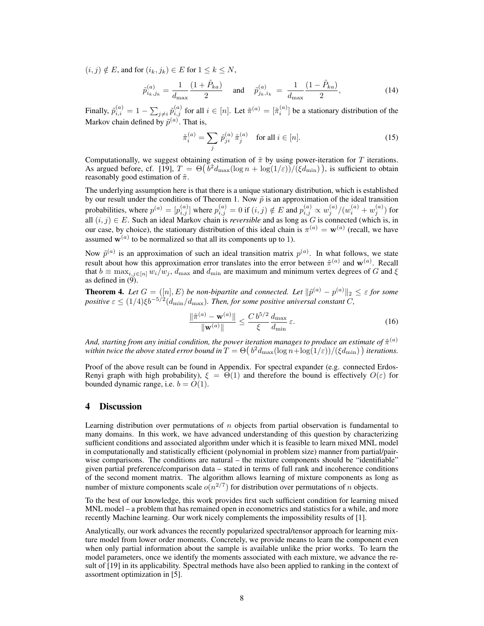$(i, j) \notin E$ , and for  $(i_k, j_k) \in E$  for  $1 \leq k \leq N$ ,

$$
\tilde{p}_{i_k,j_k}^{(a)} = \frac{1}{d_{\max}} \frac{(1 + \tilde{P}_{ka})}{2} \quad \text{and} \quad \tilde{p}_{j_k,i_k}^{(a)} = \frac{1}{d_{\max}} \frac{(1 - \tilde{P}_{ka})}{2},\tag{14}
$$

Finally,  $\tilde{p}_{i,i}^{(a)} = 1 - \sum_{j \neq i} \tilde{p}_{i,j}^{(a)}$  for all  $i \in [n]$ . Let  $\tilde{\pi}^{(a)} = [\tilde{\pi}_i^{(a)}]$  be a stationary distribution of the Markov chain defined by  $\tilde{p}^{(a)}$ . That is,

$$
\tilde{\pi}_i^{(a)} = \sum_j \tilde{p}_{ji}^{(a)} \tilde{\pi}_j^{(a)} \quad \text{for all } i \in [n]. \tag{15}
$$

Computationally, we suggest obtaining estimation of  $\tilde{\pi}$  by using power-iteration for T iterations. As argued before, cf. [19],  $T = \Theta(\overline{b}^2 d_{\text{max}}(\log n + \log(1/\varepsilon))/(\xi d_{\text{min}}))$ , is sufficient to obtain reasonably good estimation of  $\tilde{\pi}$ .

The underlying assumption here is that there is a unique stationary distribution, which is established by our result under the conditions of Theorem 1. Now  $\tilde{p}$  is an approximation of the ideal transition probabilities, where  $p^{(a)} = [p^{(a)}_{i,j}]$  where  $p^{(a)}_{i,j} = 0$  if  $(i,j) \notin E$  and  $p^{(a)}_{i,j} \propto w^{(a)}_j/(w^{(a)}_i + w^{(a)}_j)$  for all  $(i, j) \in E$ . Such an ideal Markov chain is *reversible* and as long as  $G$  is connected (which is, in our case, by choice), the stationary distribution of this ideal chain is  $\pi^{(a)} = \mathbf{w}^{(a)}$  (recall, we have assumed  $w^{(a)}$  to be normalized so that all its components up to 1).

Now  $\tilde{p}^{(a)}$  is an approximation of such an ideal transition matrix  $p^{(a)}$ . In what follows, we state result about how this approximation error translates into the error between  $\tilde{\pi}^{(a)}$  and  $\mathbf{w}^{(a)}$ . Recall that  $b \equiv \max_{i,j \in [n]} w_i/w_j$ ,  $d_{\max}$  and  $d_{\min}$  are maximum and minimum vertex degrees of G and  $\xi$ as defined in  $(9)$ .

**Theorem 4.** Let  $G = (\n\begin{bmatrix} n \\ n \end{bmatrix}, E)$  be non-bipartite and connected. Let  $\|\tilde{p}^{(a)} - p^{(a)}\|_2 \leq \varepsilon$  for some  $positive \varepsilon \leq (1/4)\xi b^{-5/2}(d_{\min}/d_{\max})$ . Then, for some positive universal constant C,

$$
\frac{\|\tilde{\pi}^{(a)} - \mathbf{w}^{(a)}\|}{\|\mathbf{w}^{(a)}\|} \le \frac{C b^{5/2}}{\xi} \frac{d_{\max}}{d_{\min}} \varepsilon.
$$
 (16)

And, starting from any initial condition, the power iteration manages to produce an estimate of  $\tilde{\pi}^{(a)}$ within twice the above stated error bound in  $T=\Theta(\sqrt{b^2d_{\max}}(\log n+\log(1/\varepsilon))/(\xi d_{\min}))$  iterations.

Proof of the above result can be found in Appendix. For spectral expander (e.g. connected Erdos-Renyi graph with high probability),  $\xi = \Theta(1)$  and therefore the bound is effectively  $O(\varepsilon)$  for bounded dynamic range, i.e.  $b = O(1)$ .

## 4 Discussion

Learning distribution over permutations of  $n$  objects from partial observation is fundamental to many domains. In this work, we have advanced understanding of this question by characterizing sufficient conditions and associated algorithm under which it is feasible to learn mixed MNL model in computationally and statistically efficient (polynomial in problem size) manner from partial/pairwise comparisons. The conditions are natural – the mixture components should be "identifiable" given partial preference/comparison data – stated in terms of full rank and incoherence conditions of the second moment matrix. The algorithm allows learning of mixture components as long as number of mixture components scale  $o(n^{2/7})$  for distribution over permutations of n objects.

To the best of our knowledge, this work provides first such sufficient condition for learning mixed MNL model – a problem that has remained open in econometrics and statistics for a while, and more recently Machine learning. Our work nicely complements the impossibility results of [1].

Analytically, our work advances the recently popularized spectral/tensor approach for learning mixture model from lower order moments. Concretely, we provide means to learn the component even when only partial information about the sample is available unlike the prior works. To learn the model parameters, once we identify the moments associated with each mixture, we advance the result of [19] in its applicability. Spectral methods have also been applied to ranking in the context of assortment optimization in [5].